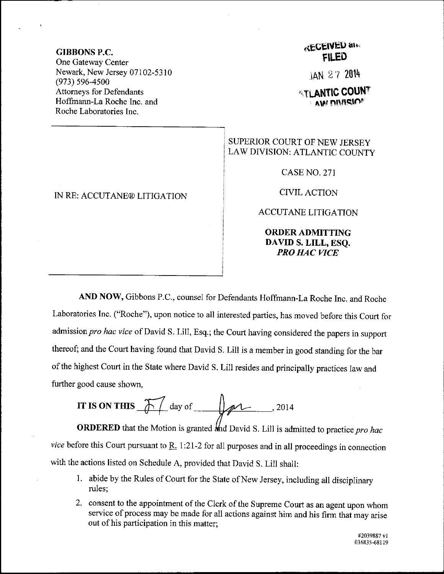## GIBBONS P.C.

One Gateway Center Newark, New Jersey 07102-5310 (973) s96-4s00 Attomeys for Defendants Hoffrnann-La Roche Inc. and Roche Laboratories Inc.

IN RE: ACCUTANE@ LIT]GATION

## **RECEIVED and** FII.ED

iAN 2'l <sup>2014</sup>

**ATLANTIC COUNT** aw n!\flslnF

## SUPERIOR COURT OF NEW JERSEY LAW DIVISION: ATLANTIC COUNTY

CASENO,271

CIVILACTION

ACCUTANE LITIGATION

ORDERADMITTING DAVID S. LILL, ESQ. PRO HAC VICE

AND NOW, Gibbons P.C., counsel for Defendants Hoffmann-La Roche Inc. and Roche Laboratories Inc. ("Roche"), upon notice to all interested parties, has moved before this Court for admission pro hac vice of David S. Lill, Esq.; the Court having considered the papers in support thereof; and the court having found that David S. Lill is a member in good standing for the bar of the highest Court in the State where David S. Lill resides and principally practices law and further good cause shown,

IT IS ON THIS 
$$
\sqrt{\frac{1}{2}} \text{ day of } \sqrt{2014}
$$

**ORDERED** that the Motion is granted and David S. Lill is admitted to practice pro hac vice before this Court pursuant to  $R<sub>1</sub>$  1:21-2 for all purposes and in all proceedings in connection with the actions listed on Schedule A, provided that David S. Lill shall:

- 1. abide by the Rules of Court for the State of New Jersey, including all disciplinary rules;
- 2. consent to the appointment of the clerk of the Supreme court as an agent upon whom service of process may be made for all actions against him and his firm that may arise out of his participation in this matter;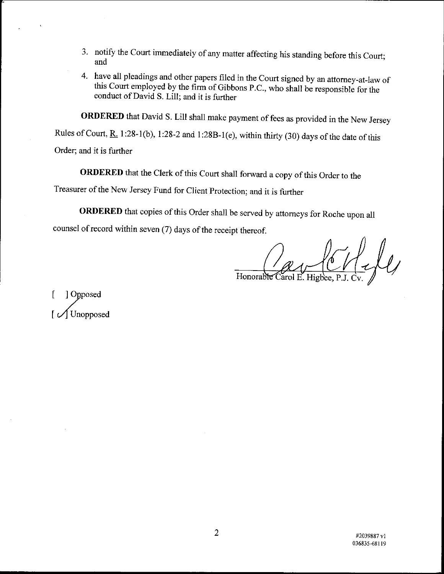- 3. notify the Court immediately of any matter affecting his standing before this Court; and
- 4. have all pleadings and other papers filed in the Court signed by an attorney-at-law of this Court employed by the firm of Gibbons P.C., who shall be responsible for the conduct of David S. Lill; and it is further

ORDERED that David S. Lill shall make payment of fees as provided in the New Jersey

Rules of Court,  $R_1$  1:28-1(b), 1:28-2 and 1:28B-1(e), within thirty (30) days of the date of this

Order; and it is further

ORDERED that the clerk of this court shall forward a copy of this order to the

Treasurer of the New Jersey Fund for Client Protection; and it is further

ORDERED that copies of this Order shall be served by attorneys for Roche upon all

counsel of record within seven (7) days of the receipt thereof.

 $L\mu$ Honorable Carol E

[ ] Opposed Unopposed